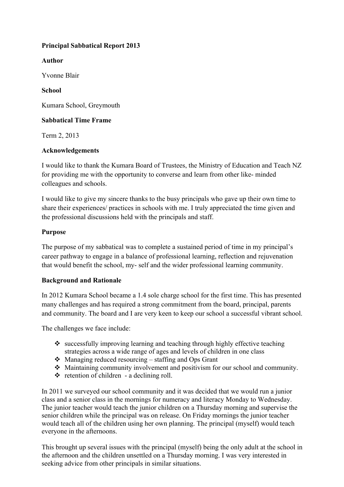## **Principal Sabbatical Report 2013**

### **Author**

Yvonne Blair

**School**

Kumara School, Greymouth

## **Sabbatical Time Frame**

Term 2, 2013

## **Acknowledgements**

I would like to thank the Kumara Board of Trustees, the Ministry of Education and Teach NZ for providing me with the opportunity to converse and learn from other like- minded colleagues and schools.

I would like to give my sincere thanks to the busy principals who gave up their own time to share their experiences/ practices in schools with me. I truly appreciated the time given and the professional discussions held with the principals and staff.

## **Purpose**

The purpose of my sabbatical was to complete a sustained period of time in my principal's career pathway to engage in a balance of professional learning, reflection and rejuvenation that would benefit the school, my- self and the wider professional learning community.

### **Background and Rationale**

In 2012 Kumara School became a 1.4 sole charge school for the first time. This has presented many challenges and has required a strong commitment from the board, principal, parents and community. The board and I are very keen to keep our school a successful vibrant school.

The challenges we face include:

- $\cdot$  successfully improving learning and teaching through highly effective teaching strategies across a wide range of ages and levels of children in one class
- $\triangle$  Managing reduced resourcing staffing and Ops Grant
- $\triangleleft$  Maintaining community involvement and positivism for our school and community.
- $\triangleleft$  retention of children a declining roll.

In 2011 we surveyed our school community and it was decided that we would run a junior class and a senior class in the mornings for numeracy and literacy Monday to Wednesday. The junior teacher would teach the junior children on a Thursday morning and supervise the senior children while the principal was on release. On Friday mornings the junior teacher would teach all of the children using her own planning. The principal (myself) would teach everyone in the afternoons.

This brought up several issues with the principal (myself) being the only adult at the school in the afternoon and the children unsettled on a Thursday morning. I was very interested in seeking advice from other principals in similar situations.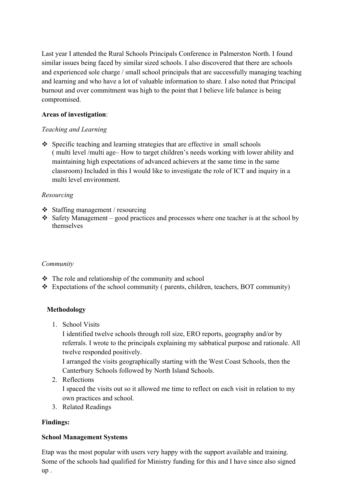Last year I attended the Rural Schools Principals Conference in Palmerston North. I found similar issues being faced by similar sized schools. I also discovered that there are schools and experienced sole charge / small school principals that are successfully managing teaching and learning and who have a lot of valuable information to share. I also noted that Principal burnout and over commitment was high to the point that I believe life balance is being compromised.

### **Areas of investigation**:

## *Teaching and Learning*

 $\cdot$  Specific teaching and learning strategies that are effective in small schools ( multi level /multi age– How to target children's needs working with lower ability and maintaining high expectations of advanced achievers at the same time in the same classroom) Included in this I would like to investigate the role of ICT and inquiry in a multi level environment.

## *Resourcing*

- $\div$  Staffing management / resourcing
- $\cdot$  Safety Management good practices and processes where one teacher is at the school by themselves

### *Community*

- $\div$  The role and relationship of the community and school
- $\div$  Expectations of the school community ( parents, children, teachers, BOT community)

## **Methodology**

1. School Visits

I identified twelve schools through roll size, ERO reports, geography and/or by referrals. I wrote to the principals explaining my sabbatical purpose and rationale. All twelve responded positively.

I arranged the visits geographically starting with the West Coast Schools, then the Canterbury Schools followed by North Island Schools.

2. Reflections

I spaced the visits out so it allowed me time to reflect on each visit in relation to my own practices and school.

3. Related Readings

## **Findings:**

### **School Management Systems**

Etap was the most popular with users very happy with the support available and training. Some of the schools had qualified for Ministry funding for this and I have since also signed up .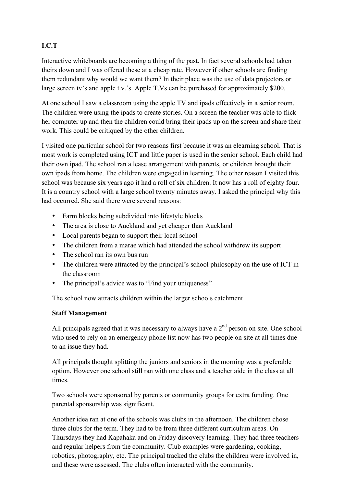# **I.C.T**

Interactive whiteboards are becoming a thing of the past. In fact several schools had taken theirs down and I was offered these at a cheap rate. However if other schools are finding them redundant why would we want them? In their place was the use of data projectors or large screen tv's and apple t.v.'s. Apple T.Vs can be purchased for approximately \$200.

At one school I saw a classroom using the apple TV and ipads effectively in a senior room. The children were using the ipads to create stories. On a screen the teacher was able to flick her computer up and then the children could bring their ipads up on the screen and share their work. This could be critiqued by the other children.

I visited one particular school for two reasons first because it was an elearning school. That is most work is completed using ICT and little paper is used in the senior school. Each child had their own ipad. The school ran a lease arrangement with parents, or children brought their own ipads from home. The children were engaged in learning. The other reason I visited this school was because six years ago it had a roll of six children. It now has a roll of eighty four. It is a country school with a large school twenty minutes away. I asked the principal why this had occurred. She said there were several reasons:

- Farm blocks being subdivided into lifestyle blocks
- The area is close to Auckland and yet cheaper than Auckland
- Local parents began to support their local school
- The children from a marae which had attended the school withdrew its support
- The school ran its own bus run
- The children were attracted by the principal's school philosophy on the use of ICT in the classroom
- The principal's advice was to "Find your uniqueness"

The school now attracts children within the larger schools catchment

## **Staff Management**

All principals agreed that it was necessary to always have a  $2<sup>nd</sup>$  person on site. One school who used to rely on an emergency phone list now has two people on site at all times due to an issue they had.

All principals thought splitting the juniors and seniors in the morning was a preferable option. However one school still ran with one class and a teacher aide in the class at all times.

Two schools were sponsored by parents or community groups for extra funding. One parental sponsorship was significant.

Another idea ran at one of the schools was clubs in the afternoon. The children chose three clubs for the term. They had to be from three different curriculum areas. On Thursdays they had Kapahaka and on Friday discovery learning. They had three teachers and regular helpers from the community. Club examples were gardening, cooking, robotics, photography, etc. The principal tracked the clubs the children were involved in, and these were assessed. The clubs often interacted with the community.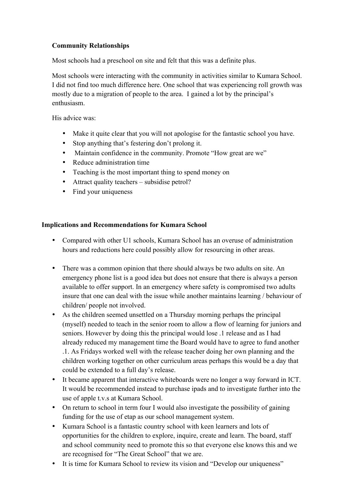## **Community Relationships**

Most schools had a preschool on site and felt that this was a definite plus.

Most schools were interacting with the community in activities similar to Kumara School. I did not find too much difference here. One school that was experiencing roll growth was mostly due to a migration of people to the area. I gained a lot by the principal's enthusiasm.

His advice was:

- Make it quite clear that you will not apologise for the fantastic school you have.
- Stop anything that's festering don't prolong it.
- Maintain confidence in the community. Promote "How great are we"
- Reduce administration time
- Teaching is the most important thing to spend money on
- Attract quality teachers subsidise petrol?
- Find your uniqueness

#### **Implications and Recommendations for Kumara School**

- Compared with other U1 schools, Kumara School has an overuse of administration hours and reductions here could possibly allow for resourcing in other areas.
- There was a common opinion that there should always be two adults on site. An emergency phone list is a good idea but does not ensure that there is always a person available to offer support. In an emergency where safety is compromised two adults insure that one can deal with the issue while another maintains learning / behaviour of children/ people not involved.
- As the children seemed unsettled on a Thursday morning perhaps the principal (myself) needed to teach in the senior room to allow a flow of learning for juniors and seniors. However by doing this the principal would lose .1 release and as I had already reduced my management time the Board would have to agree to fund another .1. As Fridays worked well with the release teacher doing her own planning and the children working together on other curriculum areas perhaps this would be a day that could be extended to a full day's release.
- It became apparent that interactive whiteboards were no longer a way forward in ICT. It would be recommended instead to purchase ipads and to investigate further into the use of apple t.v.s at Kumara School.
- On return to school in term four I would also investigate the possibility of gaining funding for the use of etap as our school management system.
- Kumara School is a fantastic country school with keen learners and lots of opportunities for the children to explore, inquire, create and learn. The board, staff and school community need to promote this so that everyone else knows this and we are recognised for "The Great School" that we are.
- It is time for Kumara School to review its vision and "Develop our uniqueness"